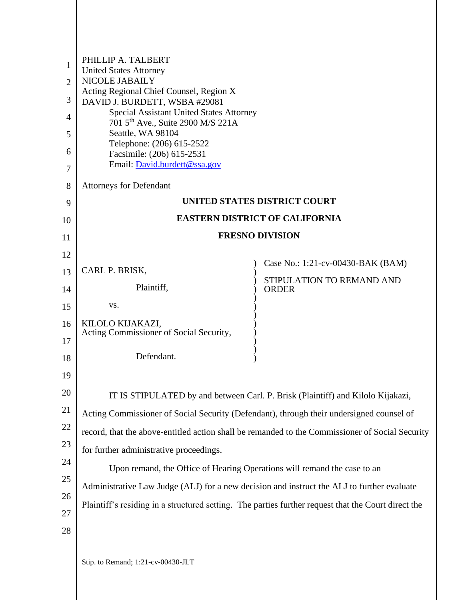|    | PHILLIP A. TALBERT                                                                                                                                                                                |                                                                                 |  |
|----|---------------------------------------------------------------------------------------------------------------------------------------------------------------------------------------------------|---------------------------------------------------------------------------------|--|
| 1  | <b>United States Attorney</b><br><b>NICOLE JABAILY</b>                                                                                                                                            |                                                                                 |  |
| 2  | Acting Regional Chief Counsel, Region X                                                                                                                                                           |                                                                                 |  |
| 3  | DAVID J. BURDETT, WSBA #29081<br><b>Special Assistant United States Attorney</b>                                                                                                                  |                                                                                 |  |
| 4  | 701 5 <sup>th</sup> Ave., Suite 2900 M/S 221A                                                                                                                                                     |                                                                                 |  |
| 5  | Seattle, WA 98104<br>Telephone: (206) 615-2522                                                                                                                                                    |                                                                                 |  |
| 6  | Facsimile: (206) 615-2531<br>Email: David.burdett@ssa.gov                                                                                                                                         |                                                                                 |  |
| 7  |                                                                                                                                                                                                   |                                                                                 |  |
| 8  | <b>Attorneys for Defendant</b>                                                                                                                                                                    |                                                                                 |  |
| 9  | UNITED STATES DISTRICT COURT                                                                                                                                                                      |                                                                                 |  |
| 10 | <b>EASTERN DISTRICT OF CALIFORNIA</b>                                                                                                                                                             |                                                                                 |  |
| 11 | <b>FRESNO DIVISION</b>                                                                                                                                                                            |                                                                                 |  |
| 12 |                                                                                                                                                                                                   | Case No.: 1:21-cv-00430-BAK (BAM)                                               |  |
| 13 | CARL P. BRISK,                                                                                                                                                                                    | STIPULATION TO REMAND AND                                                       |  |
| 14 | Plaintiff,                                                                                                                                                                                        | <b>ORDER</b>                                                                    |  |
| 15 | VS.                                                                                                                                                                                               |                                                                                 |  |
| 16 | KILOLO KIJAKAZI,<br>Acting Commissioner of Social Security,                                                                                                                                       |                                                                                 |  |
| 17 |                                                                                                                                                                                                   |                                                                                 |  |
| 18 | Defendant.                                                                                                                                                                                        |                                                                                 |  |
| 19 |                                                                                                                                                                                                   |                                                                                 |  |
| 20 |                                                                                                                                                                                                   | IT IS STIPULATED by and between Carl. P. Brisk (Plaintiff) and Kilolo Kijakazi, |  |
| 21 | Acting Commissioner of Social Security (Defendant), through their undersigned counsel of                                                                                                          |                                                                                 |  |
| 22 | record, that the above-entitled action shall be remanded to the Commissioner of Social Security                                                                                                   |                                                                                 |  |
| 23 | for further administrative proceedings.                                                                                                                                                           |                                                                                 |  |
| 24 | Upon remand, the Office of Hearing Operations will remand the case to an                                                                                                                          |                                                                                 |  |
| 25 |                                                                                                                                                                                                   |                                                                                 |  |
| 26 | Administrative Law Judge (ALJ) for a new decision and instruct the ALJ to further evaluate<br>Plaintiff's residing in a structured setting. The parties further request that the Court direct the |                                                                                 |  |
| 27 |                                                                                                                                                                                                   |                                                                                 |  |
| 28 |                                                                                                                                                                                                   |                                                                                 |  |
|    |                                                                                                                                                                                                   |                                                                                 |  |
|    | Stip. to Remand; 1:21-cv-00430-JLT                                                                                                                                                                |                                                                                 |  |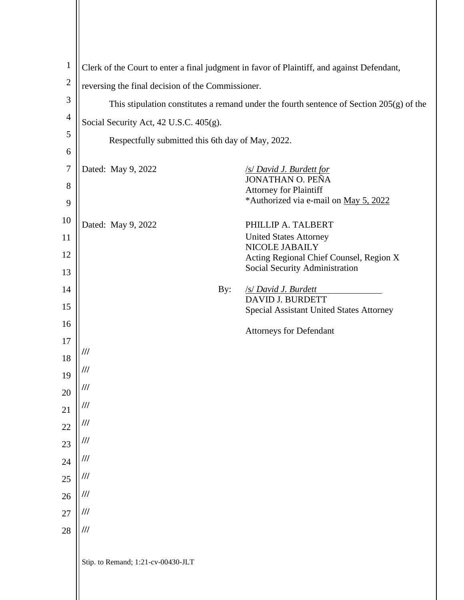| $\mathbf{1}$     | Clerk of the Court to enter a final judgment in favor of Plaintiff, and against Defendant, |                                                                     |  |
|------------------|--------------------------------------------------------------------------------------------|---------------------------------------------------------------------|--|
| $\boldsymbol{2}$ | reversing the final decision of the Commissioner.                                          |                                                                     |  |
| 3                | This stipulation constitutes a remand under the fourth sentence of Section $205(g)$ of the |                                                                     |  |
| $\overline{4}$   | Social Security Act, 42 U.S.C. 405(g).                                                     |                                                                     |  |
| 5                | Respectfully submitted this 6th day of May, 2022.                                          |                                                                     |  |
| 6                |                                                                                            |                                                                     |  |
| $\overline{7}$   | Dated: May 9, 2022                                                                         | <b>S David J. Burdett for</b>                                       |  |
| $8\,$            |                                                                                            | <b>JONATHAN O. PEÑA</b><br><b>Attorney for Plaintiff</b>            |  |
| 9                |                                                                                            | *Authorized via e-mail on May 5, 2022                               |  |
| 10               | Dated: May 9, 2022                                                                         | PHILLIP A. TALBERT                                                  |  |
| 11               |                                                                                            | <b>United States Attorney</b>                                       |  |
| 12               |                                                                                            | NICOLE JABAILY<br>Acting Regional Chief Counsel, Region X           |  |
| 13               |                                                                                            | Social Security Administration                                      |  |
| 14               | By:                                                                                        | <b>S David J. Burdett</b>                                           |  |
| 15               |                                                                                            | DAVID J. BURDETT<br><b>Special Assistant United States Attorney</b> |  |
| 16               |                                                                                            |                                                                     |  |
| 17               |                                                                                            | <b>Attorneys for Defendant</b>                                      |  |
| 18               | ///                                                                                        |                                                                     |  |
| 19               | ///                                                                                        |                                                                     |  |
| 20               | ///                                                                                        |                                                                     |  |
| 21               | ///                                                                                        |                                                                     |  |
| 22               | ///                                                                                        |                                                                     |  |
| 23               | ///                                                                                        |                                                                     |  |
| 24               | ///                                                                                        |                                                                     |  |
| 25               | ///                                                                                        |                                                                     |  |
| 26               | ///                                                                                        |                                                                     |  |
| 27               | ///                                                                                        |                                                                     |  |
| 28               | III                                                                                        |                                                                     |  |
|                  |                                                                                            |                                                                     |  |
|                  | Stip. to Remand; 1:21-cv-00430-JLT                                                         |                                                                     |  |